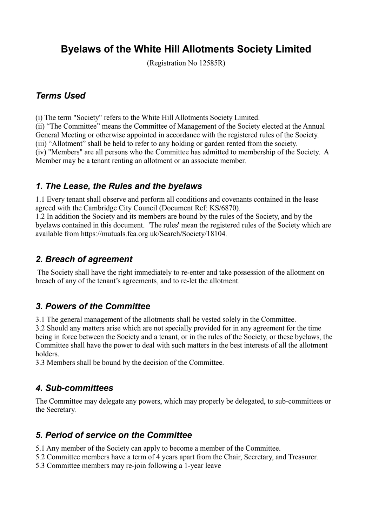# **Byelaws of the White Hill Allotments Society Limited**

(Registration No 12585R)

#### *Terms Used*

(i) The term "Society" refers to the White Hill Allotments Society Limited.

(ii) "The Committee" means the Committee of Management of the Society elected at the Annual General Meeting or otherwise appointed in accordance with the registered rules of the Society. (iii) "Allotment" shall be held to refer to any holding or garden rented from the society. (iv) "Members" are all persons who the Committee has admitted to membership of the Society. A Member may be a tenant renting an allotment or an associate member.

### *1. The Lease, the Rules and the byelaws*

1.1 Every tenant shall observe and perform all conditions and covenants contained in the lease agreed with the Cambridge City Council (Document Ref: KS/6870).

1.2 In addition the Society and its members are bound by the rules of the Society, and by the byelaws contained in this document. 'The rules' mean the registered rules of the Society which are available from https://mutuals.fca.org.uk/Search/Society/18104.

### *2. Breach of agreement*

 The Society shall have the right immediately to re-enter and take possession of the allotment on breach of any of the tenant's agreements, and to re-let the allotment.

### *3. Powers of the Committee*

3.1 The general management of the allotments shall be vested solely in the Committee.

3.2 Should any matters arise which are not specially provided for in any agreement for the time being in force between the Society and a tenant, or in the rules of the Society, or these byelaws, the Committee shall have the power to deal with such matters in the best interests of all the allotment holders.

3.3 Members shall be bound by the decision of the Committee.

### *4. Sub-committees*

The Committee may delegate any powers, which may properly be delegated, to sub-committees or the Secretary.

# *5. Period of service on the Committee*

5.1 Any member of the Society can apply to become a member of the Committee.

- 5.2 Committee members have a term of 4 years apart from the Chair, Secretary, and Treasurer.
- 5.3 Committee members may re-join following a 1-year leave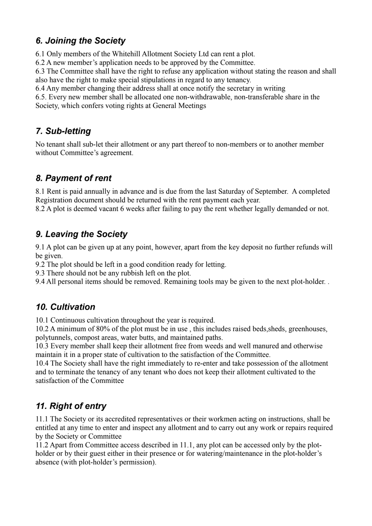### *6. Joining the Society*

6.1 Only members of the Whitehill Allotment Society Ltd can rent a plot.

6.2 A new member's application needs to be approved by the Committee.

6.3 The Committee shall have the right to refuse any application without stating the reason and shall also have the right to make special stipulations in regard to any tenancy.

6.4 Any member changing their address shall at once notify the secretary in writing

6.5. Every new member shall be allocated one non-withdrawable, non-transferable share in the Society, which confers voting rights at General Meetings

# *7. Sub-letting*

No tenant shall sub-let their allotment or any part thereof to non-members or to another member without Committee's agreement.

# *8. Payment of rent*

8.1 Rent is paid annually in advance and is due from the last Saturday of September. A completed Registration document should be returned with the rent payment each year.

8.2 A plot is deemed vacant 6 weeks after failing to pay the rent whether legally demanded or not.

### *9. Leaving the Society*

9.1 A plot can be given up at any point, however, apart from the key deposit no further refunds will be given.

9.2 The plot should be left in a good condition ready for letting.

9.3 There should not be any rubbish left on the plot.

9.4 All personal items should be removed. Remaining tools may be given to the next plot-holder. .

# *10. Cultivation*

10.1 Continuous cultivation throughout the year is required.

10.2 A minimum of 80% of the plot must be in use , this includes raised beds,sheds, greenhouses, polytunnels, compost areas, water butts, and maintained paths.

10.3 Every member shall keep their allotment free from weeds and well manured and otherwise maintain it in a proper state of cultivation to the satisfaction of the Committee.

10.4 The Society shall have the right immediately to re-enter and take possession of the allotment and to terminate the tenancy of any tenant who does not keep their allotment cultivated to the satisfaction of the Committee

# *11. Right of entry*

11.1 The Society or its accredited representatives or their workmen acting on instructions, shall be entitled at any time to enter and inspect any allotment and to carry out any work or repairs required by the Society or Committee

11.2 Apart from Committee access described in 11.1, any plot can be accessed only by the plotholder or by their guest either in their presence or for watering/maintenance in the plot-holder's absence (with plot-holder's permission).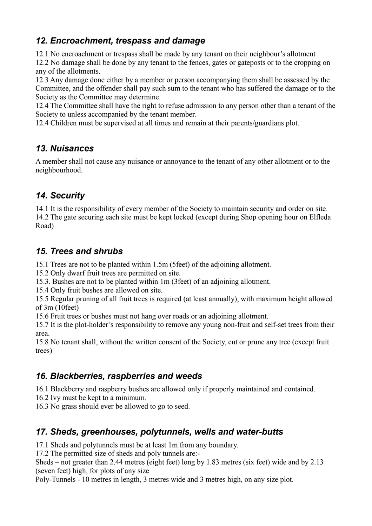### *12. Encroachment, trespass and damage*

12.1 No encroachment or trespass shall be made by any tenant on their neighbour's allotment

12.2 No damage shall be done by any tenant to the fences, gates or gateposts or to the cropping on any of the allotments.

12.3 Any damage done either by a member or person accompanying them shall be assessed by the Committee, and the offender shall pay such sum to the tenant who has suffered the damage or to the Society as the Committee may determine.

12.4 The Committee shall have the right to refuse admission to any person other than a tenant of the Society to unless accompanied by the tenant member.

12.4 Children must be supervised at all times and remain at their parents/guardians plot.

### *13. Nuisances*

A member shall not cause any nuisance or annoyance to the tenant of any other allotment or to the neighbourhood.

# *14. Security*

14.1 It is the responsibility of every member of the Society to maintain security and order on site. 14.2 The gate securing each site must be kept locked (except during Shop opening hour on Elfleda Road)

### *15. Trees and shrubs*

15.1 Trees are not to be planted within 1.5m (5feet) of the adjoining allotment.

15.2 Only dwarf fruit trees are permitted on site.

15.3. Bushes are not to be planted within 1m (3feet) of an adjoining allotment.

15.4 Only fruit bushes are allowed on site.

15.5 Regular pruning of all fruit trees is required (at least annually), with maximum height allowed of 3m (10feet)

15.6 Fruit trees or bushes must not hang over roads or an adjoining allotment.

15.7 It is the plot-holder's responsibility to remove any young non-fruit and self-set trees from their area.

15.8 No tenant shall, without the written consent of the Society, cut or prune any tree (except fruit trees)

### *16. Blackberries, raspberries and weeds*

16.1 Blackberry and raspberry bushes are allowed only if properly maintained and contained.

16.2 Ivy must be kept to a minimum.

16.3 No grass should ever be allowed to go to seed.

# *17. Sheds, greenhouses, polytunnels, wells and water-butts*

17.1 Sheds and polytunnels must be at least 1m from any boundary.

17.2 The permitted size of sheds and poly tunnels are:-

Sheds – not greater than 2.44 metres (eight feet) long by 1.83 metres (six feet) wide and by 2.13 (seven feet) high, for plots of any size

Poly-Tunnels - 10 metres in length, 3 metres wide and 3 metres high, on any size plot.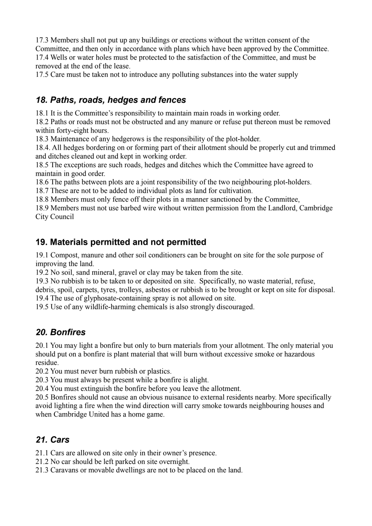17.3 Members shall not put up any buildings or erections without the written consent of the Committee, and then only in accordance with plans which have been approved by the Committee. 17.4 Wells or water holes must be protected to the satisfaction of the Committee, and must be removed at the end of the lease.

17.5 Care must be taken not to introduce any polluting substances into the water supply

### *18. Paths, roads, hedges and fences*

18.1 It is the Committee's responsibility to maintain main roads in working order.

18.2 Paths or roads must not be obstructed and any manure or refuse put thereon must be removed within forty-eight hours.

18.3 Maintenance of any hedgerows is the responsibility of the plot-holder.

18.4. All hedges bordering on or forming part of their allotment should be properly cut and trimmed and ditches cleaned out and kept in working order.

18.5 The exceptions are such roads, hedges and ditches which the Committee have agreed to maintain in good order.

18.6 The paths between plots are a joint responsibility of the two neighbouring plot-holders.

18.7 These are not to be added to individual plots as land for cultivation.

18.8 Members must only fence off their plots in a manner sanctioned by the Committee,

18.9 Members must not use barbed wire without written permission from the Landlord, Cambridge City Council

### **19. Materials permitted and not permitted**

19.1 Compost, manure and other soil conditioners can be brought on site for the sole purpose of improving the land.

19.2 No soil, sand mineral, gravel or clay may be taken from the site.

19.3 No rubbish is to be taken to or deposited on site. Specifically, no waste material, refuse,

debris, spoil, carpets, tyres, trolleys, asbestos or rubbish is to be brought or kept on site for disposal. 19.4 The use of glyphosate-containing spray is not allowed on site.

19.5 Use of any wildlife-harming chemicals is also strongly discouraged.

### *20. Bonfires*

20.1 You may light a bonfire but only to burn materials from your allotment. The only material you should put on a bonfire is plant material that will burn without excessive smoke or hazardous residue.

20.2 You must never burn rubbish or plastics.

20.3 You must always be present while a bonfire is alight.

20.4 You must extinguish the bonfire before you leave the allotment.

20.5 Bonfires should not cause an obvious nuisance to external residents nearby. More specifically avoid lighting a fire when the wind direction will carry smoke towards neighbouring houses and when Cambridge United has a home game.

### *21. Cars*

21.1 Cars are allowed on site only in their owner's presence.

21.2 No car should be left parked on site overnight.

21.3 Caravans or movable dwellings are not to be placed on the land.